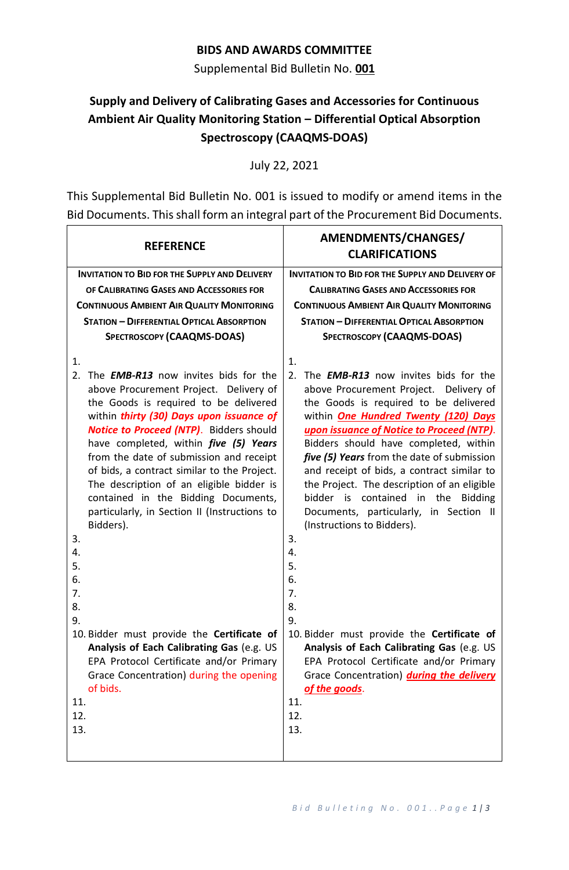## **BIDS AND AWARDS COMMITTEE**

Supplemental Bid Bulletin No. **001**

## **Supply and Delivery of Calibrating Gases and Accessories for Continuous Ambient Air Quality Monitoring Station – Differential Optical Absorption Spectroscopy (CAAQMS-DOAS)**

July 22, 2021

This Supplemental Bid Bulletin No. 001 is issued to modify or amend items in the Bid Documents. This shall form an integral part of the Procurement Bid Documents.

| <b>REFERENCE</b>                                                                                                                                                                                                                                                                                                                                                                                                                                                                                                                                                                                                                                                                                                                                                                               | AMENDMENTS/CHANGES/<br><b>CLARIFICATIONS</b>                                                                                                                                                                                                                                                                                                                                                                                                                                                                                                                                                                                                                                                                                                                                                                         |  |  |  |
|------------------------------------------------------------------------------------------------------------------------------------------------------------------------------------------------------------------------------------------------------------------------------------------------------------------------------------------------------------------------------------------------------------------------------------------------------------------------------------------------------------------------------------------------------------------------------------------------------------------------------------------------------------------------------------------------------------------------------------------------------------------------------------------------|----------------------------------------------------------------------------------------------------------------------------------------------------------------------------------------------------------------------------------------------------------------------------------------------------------------------------------------------------------------------------------------------------------------------------------------------------------------------------------------------------------------------------------------------------------------------------------------------------------------------------------------------------------------------------------------------------------------------------------------------------------------------------------------------------------------------|--|--|--|
| <b>INVITATION TO BID FOR THE SUPPLY AND DELIVERY</b>                                                                                                                                                                                                                                                                                                                                                                                                                                                                                                                                                                                                                                                                                                                                           | <b>INVITATION TO BID FOR THE SUPPLY AND DELIVERY OF</b>                                                                                                                                                                                                                                                                                                                                                                                                                                                                                                                                                                                                                                                                                                                                                              |  |  |  |
| OF CALIBRATING GASES AND ACCESSORIES FOR                                                                                                                                                                                                                                                                                                                                                                                                                                                                                                                                                                                                                                                                                                                                                       | <b>CALIBRATING GASES AND ACCESSORIES FOR</b>                                                                                                                                                                                                                                                                                                                                                                                                                                                                                                                                                                                                                                                                                                                                                                         |  |  |  |
| <b>CONTINUOUS AMBIENT AIR QUALITY MONITORING</b>                                                                                                                                                                                                                                                                                                                                                                                                                                                                                                                                                                                                                                                                                                                                               | <b>CONTINUOUS AMBIENT AIR QUALITY MONITORING</b>                                                                                                                                                                                                                                                                                                                                                                                                                                                                                                                                                                                                                                                                                                                                                                     |  |  |  |
| <b>STATION - DIFFERENTIAL OPTICAL ABSORPTION</b>                                                                                                                                                                                                                                                                                                                                                                                                                                                                                                                                                                                                                                                                                                                                               | <b>STATION - DIFFERENTIAL OPTICAL ABSORPTION</b>                                                                                                                                                                                                                                                                                                                                                                                                                                                                                                                                                                                                                                                                                                                                                                     |  |  |  |
| <b>SPECTROSCOPY (CAAQMS-DOAS)</b>                                                                                                                                                                                                                                                                                                                                                                                                                                                                                                                                                                                                                                                                                                                                                              | <b>SPECTROSCOPY (CAAQMS-DOAS)</b>                                                                                                                                                                                                                                                                                                                                                                                                                                                                                                                                                                                                                                                                                                                                                                                    |  |  |  |
| 1.<br>2.<br>The <b>EMB-R13</b> now invites bids for the<br>above Procurement Project. Delivery of<br>the Goods is required to be delivered<br>within thirty (30) Days upon issuance of<br><b>Notice to Proceed (NTP).</b> Bidders should<br>have completed, within <i>five</i> (5) Years<br>from the date of submission and receipt<br>of bids, a contract similar to the Project.<br>The description of an eligible bidder is<br>contained in the Bidding Documents,<br>particularly, in Section II (Instructions to<br>Bidders).<br>3.<br>4.<br>5.<br>6.<br>7.<br>8.<br>9.<br>10. Bidder must provide the Certificate of<br>Analysis of Each Calibrating Gas (e.g. US<br>EPA Protocol Certificate and/or Primary<br>Grace Concentration) during the opening<br>of bids.<br>11.<br>12.<br>13. | 1.<br>The <b>EMB-R13</b> now invites bids for the<br>2.<br>above Procurement Project. Delivery of<br>the Goods is required to be delivered<br>within <b>One Hundred Twenty (120) Days</b><br>upon issuance of Notice to Proceed (NTP).<br>Bidders should have completed, within<br>five (5) Years from the date of submission<br>and receipt of bids, a contract similar to<br>the Project. The description of an eligible<br>bidder is contained in the<br><b>Bidding</b><br>Documents, particularly, in Section II<br>(Instructions to Bidders).<br>3.<br>4.<br>5.<br>6.<br>7.<br>8.<br>9.<br>10. Bidder must provide the Certificate of<br>Analysis of Each Calibrating Gas (e.g. US<br>EPA Protocol Certificate and/or Primary<br>Grace Concentration) during the delivery<br>of the goods.<br>11.<br>12.<br>13. |  |  |  |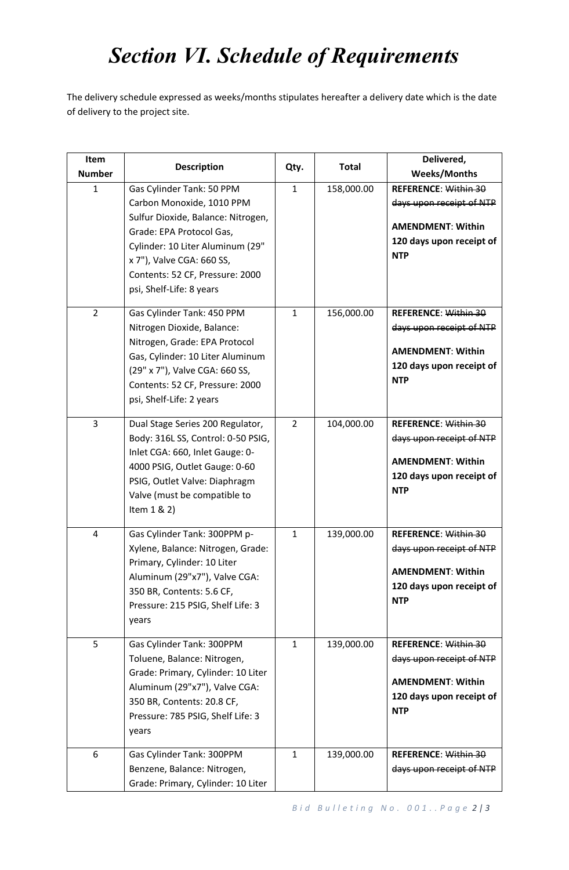## *Section VI. Schedule of Requirements*

The delivery schedule expressed as weeks/months stipulates hereafter a delivery date which is the date of delivery to the project site.

| Item<br><b>Number</b> | <b>Description</b>                                                                                                                                                                                                                                       | Qty.           | <b>Total</b> | Delivered,<br><b>Weeks/Months</b>                                                                                             |
|-----------------------|----------------------------------------------------------------------------------------------------------------------------------------------------------------------------------------------------------------------------------------------------------|----------------|--------------|-------------------------------------------------------------------------------------------------------------------------------|
| 1                     | Gas Cylinder Tank: 50 PPM<br>Carbon Monoxide, 1010 PPM<br>Sulfur Dioxide, Balance: Nitrogen,<br>Grade: EPA Protocol Gas,<br>Cylinder: 10 Liter Aluminum (29"<br>x 7"), Valve CGA: 660 SS,<br>Contents: 52 CF, Pressure: 2000<br>psi, Shelf-Life: 8 years | $\mathbf{1}$   | 158,000.00   | <b>REFERENCE: Within 30</b><br>days upon receipt of NTP<br><b>AMENDMENT: Within</b><br>120 days upon receipt of<br><b>NTP</b> |
| $\overline{2}$        | Gas Cylinder Tank: 450 PPM<br>Nitrogen Dioxide, Balance:<br>Nitrogen, Grade: EPA Protocol<br>Gas, Cylinder: 10 Liter Aluminum<br>(29" x 7"), Valve CGA: 660 SS,<br>Contents: 52 CF, Pressure: 2000<br>psi, Shelf-Life: 2 years                           | $\mathbf{1}$   | 156,000.00   | <b>REFERENCE: Within 30</b><br>days upon receipt of NTP<br><b>AMENDMENT: Within</b><br>120 days upon receipt of<br><b>NTP</b> |
| 3                     | Dual Stage Series 200 Regulator,<br>Body: 316L SS, Control: 0-50 PSIG,<br>Inlet CGA: 660, Inlet Gauge: 0-<br>4000 PSIG, Outlet Gauge: 0-60<br>PSIG, Outlet Valve: Diaphragm<br>Valve (must be compatible to<br>Item 1 & 2)                               | $\overline{2}$ | 104,000.00   | <b>REFERENCE: Within 30</b><br>days upon receipt of NTP<br><b>AMENDMENT: Within</b><br>120 days upon receipt of<br><b>NTP</b> |
| 4                     | Gas Cylinder Tank: 300PPM p-<br>Xylene, Balance: Nitrogen, Grade:<br>Primary, Cylinder: 10 Liter<br>Aluminum (29"x7"), Valve CGA:<br>350 BR, Contents: 5.6 CF,<br>Pressure: 215 PSIG, Shelf Life: 3<br>years                                             | $\mathbf{1}$   | 139,000.00   | <b>REFERENCE: Within 30</b><br>days upon receipt of NTP<br><b>AMENDMENT: Within</b><br>120 days upon receipt of<br><b>NTP</b> |
| 5                     | Gas Cylinder Tank: 300PPM<br>Toluene, Balance: Nitrogen,<br>Grade: Primary, Cylinder: 10 Liter<br>Aluminum (29"x7"), Valve CGA:<br>350 BR, Contents: 20.8 CF,<br>Pressure: 785 PSIG, Shelf Life: 3<br>years                                              | $\mathbf{1}$   | 139,000.00   | <b>REFERENCE: Within 30</b><br>days upon receipt of NTP<br><b>AMENDMENT: Within</b><br>120 days upon receipt of<br><b>NTP</b> |
| 6                     | Gas Cylinder Tank: 300PPM<br>Benzene, Balance: Nitrogen,<br>Grade: Primary, Cylinder: 10 Liter                                                                                                                                                           | $\mathbf{1}$   | 139,000.00   | <b>REFERENCE: Within 30</b><br>days upon receipt of NTP                                                                       |